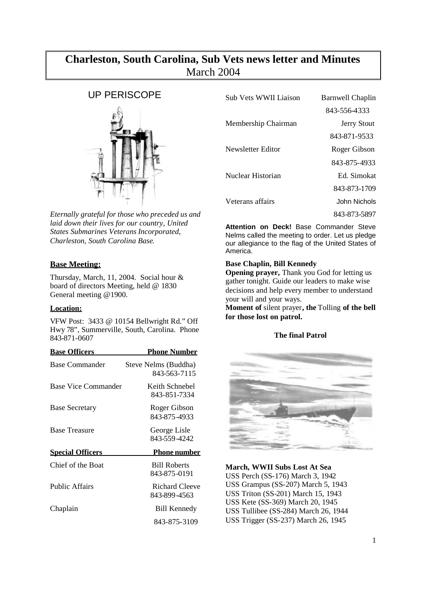# **Charleston, South Carolina, Sub Vets news letter and Minutes** March 2004

# UP PERISCOPE



*Eternally grateful for those who preceded us and laid down their lives for our country, United States Submarines Veterans Incorporated, Charleston, South Carolina Base*.

# **Base Meeting:**

Thursday, March, 11, 2004. Social hour & board of directors Meeting, held @ 1830 General meeting @1900.

# **Location:**

VFW Post: 3433 @ 10154 Bellwright Rd." Off Hwy 78", Summerville, South, Carolina. Phone 843-871-0607

| <b>Base Officers</b>    | <u>Phone Number</u>                   |
|-------------------------|---------------------------------------|
| Base Commander          | Steve Nelms (Buddha)<br>843-563-7115  |
| Base Vice Commander     | Keith Schnebel<br>843-851-7334        |
| <b>Base Secretary</b>   | Roger Gibson<br>843-875-4933          |
| <b>Base Treasure</b>    | George Lisle<br>843-559-4242          |
| <b>Special Officers</b> | <b>Phone number</b>                   |
| Chief of the Boat       | <b>Bill Roberts</b><br>843-875-0191   |
| <b>Public Affairs</b>   | <b>Richard Cleeve</b><br>843-899-4563 |
| Chaplain                | <b>Bill Kennedy</b>                   |
|                         | 843-875-3109                          |

| Sub Vets WWII Liaison | Barnwell Chaplin   |
|-----------------------|--------------------|
|                       | 843-556-4333       |
| Membership Chairman   | <b>Jerry Stout</b> |
|                       | 843-871-9533       |
| Newsletter Editor     | Roger Gibson       |
|                       | 843-875-4933       |
| Nuclear Historian     | Ed Simokat         |
|                       | 843-873-1709       |
| Veterans affairs      | John Nichols       |
|                       | 843-873-5897       |

**Attention on Deck!** Base Commander Steve Nelms called the meeting to order. Let us pledge our allegiance to the flag of the United States of America.

# **Base Chaplin, Bill Kennedy**

**Opening prayer,** Thank you God for letting us gather tonight. Guide our leaders to make wise decisions and help every member to understand your will and your ways.

**Moment of** silent prayer**, the** Tolling **of the bell for those lost on patrol.**

# **The final Patrol**



**March, WWII Subs Lost At Sea** USS Perch (SS-176) March 3, 1942 USS Grampus (SS-207) March 5, 1943 USS Triton (SS-201) March 15, 1943 USS Kete (SS-369) March 20, 1945 USS Tullibee (SS-284) March 26, 1944 USS Trigger (SS-237) March 26, 1945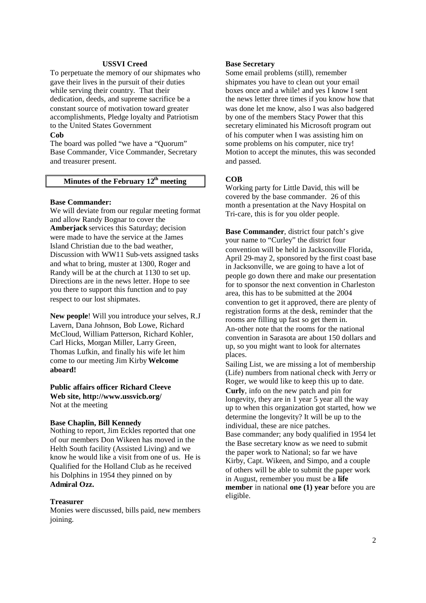## **USSVI Creed**

To perpetuate the memory of our shipmates who gave their lives in the pursuit of their duties while serving their country. That their dedication, deeds, and supreme sacrifice be a constant source of motivation toward greater accomplishments, Pledge loyalty and Patriotism to the United States Government

# **Cob**

The board was polled "we have a "Quorum" Base Commander, Vice Commander, Secretary and treasurer present.

# **Minutes of the February 12th meeting**

## **Base Commander:**

We will deviate from our regular meeting format and allow Randy Bognar to cover the **Amberjack** services this Saturday; decision were made to have the service at the James Island Christian due to the bad weather, Discussion with WW11 Sub-vets assigned tasks and what to bring, muster at 1300, Roger and Randy will be at the church at 1130 to set up. Directions are in the news letter. Hope to see you there to support this function and to pay respect to our lost shipmates.

**New people**! Will you introduce your selves, R.J Lavern, Dana Johnson, Bob Lowe, Richard McCloud, William Patterson, Richard Kohler, Carl Hicks, Morgan Miller, Larry Green, Thomas Lufkin, and finally his wife let him come to our meeting Jim Kirby**Welcome aboard!**

**Public affairs officer Richard Cleeve Web site, http://www.ussvicb.org/** Not at the meeting

# **Base Chaplin, Bill Kennedy**

Nothing to report, Jim Eckles reported that one of our members Don Wikeen has moved in the Helth South facility (Assisted Living) and we know he would like a visit from one of us. He is Qualified for the Holland Club as he received his Dolphins in 1954 they pinned on by **Admiral Ozz.**

## **Treasurer**

Monies were discussed, bills paid, new members joining.

# **Base Secretary**

Some email problems (still), remember shipmates you have to clean out your email boxes once and a while! and yes I know I sent the news letter three times if you know how that was done let me know, also I was also badgered by one of the members Stacy Power that this secretary eliminated his Microsoft program out of his computer when I was assisting him on some problems on his computer, nice try! Motion to accept the minutes, this was seconded and passed.

# **COB**

Working party for Little David, this will be covered by the base commander. 26 of this month a presentation at the Navy Hospital on Tri-care, this is for you older people.

**Base Commander**, district four patch's give your name to "Curley" the district four convention will be held in Jacksonville Florida, April 29-may 2, sponsored by the first coast base in Jacksonville, we are going to have a lot of people go down there and make our presentation for to sponsor the next convention in Charleston area, this has to be submitted at the 2004 convention to get it approved, there are plenty of registration forms at the desk, reminder that the rooms are filling up fast so get them in. An-other note that the rooms for the national convention in Sarasota are about 150 dollars and up, so you might want to look for alternates places.

Sailing List, we are missing a lot of membership (Life) numbers from national check with Jerry or Roger, we would like to keep this up to date. **Curly**, info on the new patch and pin for longevity, they are in 1 year 5 year all the way up to when this organization got started, how we determine the longevity? It will be up to the individual, these are nice patches. Base commander; any body qualified in 1954 let the Base secretary know as we need to submit the paper work to National; so far we have Kirby, Capt. Wikeen, and Simpo, and a couple of others will be able to submit the paper work in August, remember you must be a **life member** in national **one** (1) **year** before you are eligible.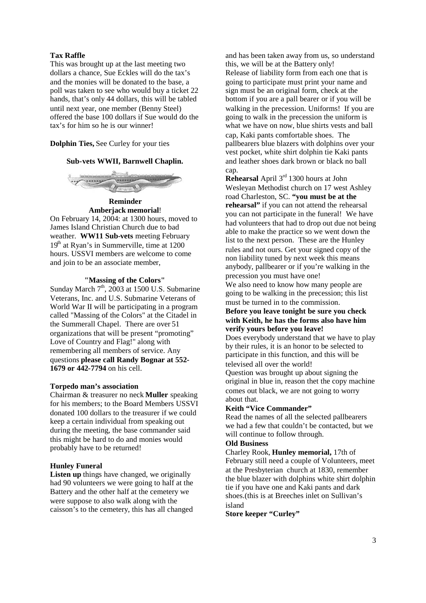# **Tax Raffle**

This was brought up at the last meeting two dollars a chance, Sue Eckles will do the tax's and the monies will be donated to the base, a poll was taken to see who would buy a ticket 22 hands, that's only 44 dollars, this will be tabled until next year, one member (Benny Steel) offered the base 100 dollars if Sue would do the tax's for him so he is our winner!

# **Dolphin Ties,** See Curley for your ties

# **Sub-vets WWII, Barnwell Chaplin.**



**Reminder Amberjack memorial**!

On February 14, 2004: at 1300 hours, moved to James Island Christian Church due to bad weather. **WW11 Sub-vets** meeting February  $19<sup>th</sup>$  at Ryan's in Summerville, time at  $1200$ hours. USSVI members are welcome to come and join to be an associate member,

# **"Massing of the Colors"**

Sunday March  $7<sup>th</sup>$ , 2003 at 1500 U.S. Submarine Veterans, Inc. and U.S. Submarine Veterans of World War II will be participating in a program called "Massing of the Colors" at the Citadel in the Summerall Chapel. There are over 51 organizations that will be present "promoting" Love of Country and Flag!" along with remembering all members of service. Any questions **please call Randy Bognar at 552- 1679 or 442-7794** on his cell.

#### **Torpedo man's association**

Chairman & treasurer no neck **Muller** speaking for his members; to the Board Members USSVI donated 100 dollars to the treasurer if we could keep a certain individual from speaking out during the meeting, the base commander said this might be hard to do and monies would probably have to be returned!

#### **Hunley Funeral**

Listen up things have changed, we originally had 90 volunteers we were going to half at the Battery and the other half at the cemetery we were suppose to also walk along with the caisson's to the cemetery, this has all changed

and has been taken away from us, so understand this, we will be at the Battery only! Release of liability form from each one that is going to participate must print your name and sign must be an original form, check at the bottom if you are a pall bearer or if you will be walking in the precession. Uniforms! If you are going to walk in the precession the uniform is what we have on now, blue shirts vests and ball cap, Kaki pants comfortable shoes. The pallbearers blue blazers with dolphins over your vest pocket, white shirt dolphin tie Kaki pants and leather shoes dark brown or black no ball cap.

**Rehearsal** April 3rd 1300 hours at John Wesleyan Methodist church on 17 west Ashley road Charleston, SC. **"you must be at the rehearsal"** if you can not attend the rehearsal you can not participate in the funeral! We have had volunteers that had to drop out due not being able to make the practice so we went down the list to the next person. These are the Hunley rules and not ours. Get your signed copy of the non liability tuned by next week this means anybody, pallbearer or if you're walking in the precession you must have one!

We also need to know how many people are going to be walking in the precession; this list must be turned in to the commission.

# **Before you leave tonight be sure you check with Keith, he has the forms also have him verify yours before you leave!**

Does everybody understand that we have to play by their rules, it is an honor to be selected to participate in this function, and this will be televised all over the world!

Question was brought up about signing the original in blue in, reason thet the copy machine comes out black, we are not going to worry about that.

# **Keith "Vice Commander"**

Read the names of all the selected pallbearers we had a few that couldn't be contacted, but we will continue to follow through.

# **Old Business**

Charley Rook, **Hunley memorial,** 17th of February still need a couple of Volunteers, meet at the Presbyterian church at 1830, remember the blue blazer with dolphins white shirt dolphin tie if you have one and Kaki pants and dark shoes.(this is at Breeches inlet on Sullivan's island

**Store keeper "Curley"**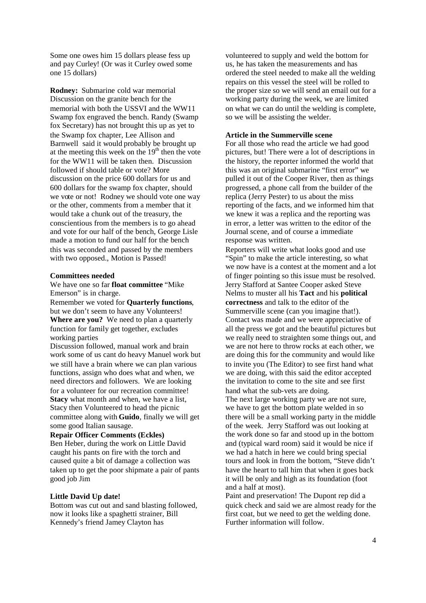Some one owes him 15 dollars please fess up and pay Curley! (Or was it Curley owed some one 15 dollars)

**Rodney:** Submarine cold war memorial Discussion on the granite bench for the memorial with both the USSVI and the WW11 Swamp fox engraved the bench. Randy (Swamp fox Secretary) has not brought this up as yet to the Swamp fox chapter, Lee Allison and Barnwell said it would probably be brought up at the meeting this week on the  $19<sup>th</sup>$  then the vote for the WW11 will be taken then. Discussion followed if should table or vote? More discussion on the price 600 dollars for us and 600 dollars for the swamp fox chapter, should we vote or not! Rodney we should vote one way or the other, comments from a member that it would take a chunk out of the treasury, the conscientious from the members is to go ahead and vote for our half of the bench, George Lisle made a motion to fund our half for the bench this was seconded and passed by the members with two opposed., Motion is Passed!

#### **Committees needed**

We have one so far **float committee** "Mike Emerson" is in charge.

Remember we voted for **Quarterly functions**, but we don't seem to have any Volunteers! **Where are you?** We need to plan a quarterly function for family get together, excludes working parties

Discussion followed, manual work and brain work some of us cant do heavy Manuel work but we still have a brain where we can plan various functions, assign who does what and when, we need directors and followers. We are looking for a volunteer for our recreation committee! **Stacy** what month and when, we have a list, Stacy then Volunteered to head the picnic committee along with **Guido**, finally we will get some good Italian sausage.

**Repair Officer Comments (Eckles)** Ben Heber, during the work on Little David caught his pants on fire with the torch and caused quite a bit of damage a collection was taken up to get the poor shipmate a pair of pants good job Jim

# **Little David Up date!**

Bottom was cut out and sand blasting followed, now it looks like a spaghetti strainer, Bill Kennedy's friend Jamey Clayton has

volunteered to supply and weld the bottom for us, he has taken the measurements and has ordered the steel needed to make all the welding repairs on this vessel the steel will be rolled to the proper size so we will send an email out for a working party during the week, we are limited on what we can do until the welding is complete, so we will be assisting the welder.

#### **Article in the Summerville scene**

For all those who read the article we had good pictures, but! There were a lot of descriptions in the history, the reporter informed the world that this was an original submarine "first error" we pulled it out of the Cooper River, then as things progressed, a phone call from the builder of the replica (Jerry Pester) to us about the miss reporting of the facts, and we informed him that we knew it was a replica and the reporting was in error, a letter was written to the editor of the Journal scene, and of course a immediate response was written.

Reporters will write what looks good and use "Spin" to make the article interesting, so what we now have is a contest at the moment and a lot of finger pointing so this issue must be resolved. Jerry Stafford at Santee Cooper asked Steve Nelms to muster all his **Tact** and his **political correctness** and talk to the editor of the Summerville scene (can you imagine that!). Contact was made and we were appreciative of all the press we got and the beautiful pictures but we really need to straighten some things out, and we are not here to throw rocks at each other, we are doing this for the community and would like to invite you (The Editor) to see first hand what we are doing, with this said the editor accepted the invitation to come to the site and see first hand what the sub-vets are doing.

The next large working party we are not sure, we have to get the bottom plate welded in so there will be a small working party in the middle of the week. Jerry Stafford was out looking at the work done so far and stood up in the bottom and (typical ward room) said it would be nice if we had a hatch in here we could bring special tours and look in from the bottom, "Steve didn't have the heart to tall him that when it goes back it will be only and high as its foundation (foot and a half at most).

Paint and preservation! The Dupont rep did a quick check and said we are almost ready for the first coat, but we need to get the welding done. Further information will follow.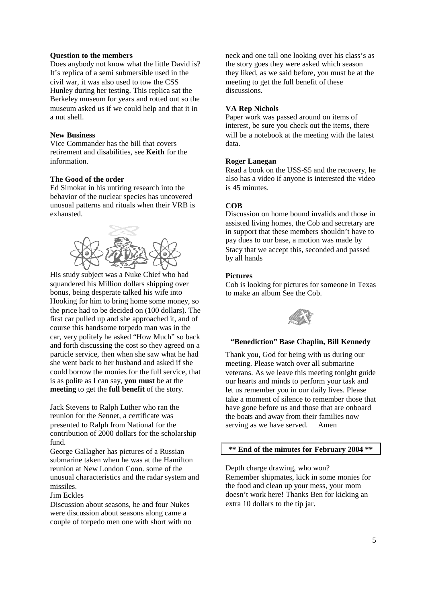# **Question to the members**

Does anybody not know what the little David is? It's replica of a semi submersible used in the civil war, it was also used to tow the CSS Hunley during her testing. This replica sat the Berkeley museum for years and rotted out so the museum asked us if we could help and that it in a nut shell.

# **New Business**

Vice Commander has the bill that covers retirement and disabilities, see **Keith** for the information.

# **The Good of the order**

Ed Simokat in his untiring research into the behavior of the nuclear species has uncovered unusual patterns and rituals when their VRB is exhausted.



His study subject was a Nuke Chief who had squandered his Million dollars shipping over bonus, being desperate talked his wife into Hooking for him to bring home some money, so the price had to be decided on (100 dollars). The first car pulled up and she approached it, and of course this handsome torpedo man was in the car, very politely he asked "How Much" so back and forth discussing the cost so they agreed on a particle service, then when she saw what he had she went back to her husband and asked if she could borrow the monies for the full service, that is as polite as I can say, **you must** be at the **meeting** to get the **full benefit** of the story.

Jack Stevens to Ralph Luther who ran the reunion for the Sennet, a certificate was presented to Ralph from National for the contribution of 2000 dollars for the scholarship fund.

George Gallagher has pictures of a Russian submarine taken when he was at the Hamilton reunion at New London Conn. some of the unusual characteristics and the radar system and missiles.

## Jim Eckles

Discussion about seasons, he and four Nukes were discussion about seasons along came a couple of torpedo men one with short with no

neck and one tall one looking over his class's as the story goes they were asked which season they liked, as we said before, you must be at the meeting to get the full benefit of these discussions.

# **VA Rep Nichols**

Paper work was passed around on items of interest, be sure you check out the items, there will be a notebook at the meeting with the latest data.

## **Roger Lanegan**

Read a book on the USS-S5 and the recovery, he also has a video if anyone is interested the video is 45 minutes.

# **COB**

Discussion on home bound invalids and those in assisted living homes, the Cob and secretary are in support that these members shouldn't have to pay dues to our base, a motion was made by Stacy that we accept this, seconded and passed by all hands

## **Pictures**

Cob is looking for pictures for someone in Texas to make an album See the Cob.



# **"Benediction" Base Chaplin, Bill Kennedy**

Thank you, God for being with us during our meeting. Please watch over all submarine veterans. As we leave this meeting tonight guide our hearts and minds to perform your task and let us remember you in our daily lives. Please take a moment of silence to remember those that have gone before us and those that are onboard the boats and away from their families now serving as we have served. Amen

# **\*\* End of the minutes for February 2004 \*\***

Depth charge drawing, who won? Remember shipmates, kick in some monies for the food and clean up your mess, your mom doesn't work here! Thanks Ben for kicking an extra 10 dollars to the tip jar.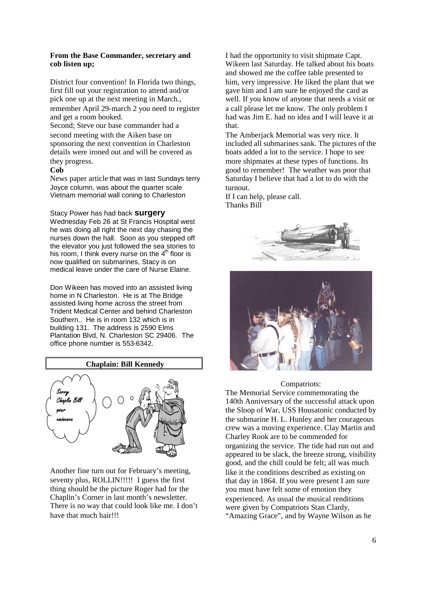# **From the Base Commander, secretary and cob listen up;**

District four convention! In Florida two things, first fill out your registration to attend and/or pick one up at the next meeting in March., remember April 29-march 2 you need to register and get a room booked.

Second; Steve our base commander had a second meeting with the Aiken base on sponsoring the next convention in Charleston details were ironed out and will be covered as they progress.

# **Cob**

News paper article that was in last Sundays terry Joyce column, was about the quarter scale Vietnam memorial wall coning to Charleston

#### Stacy Power has had back **surgery**

Wednesday Feb 26 at St Francis Hospital west he was doing all right the next day chasing the nurses down the hall. Soon as you stepped off the elevator you just followed the sea stories to his room, I think every nurse on the  $4<sup>th</sup>$  floor is now qualified on submarines, Stacy is on medical leave under the care of Nurse Elaine.

Don Wikeen has moved into an assisted living home in N Charleston. He is at The Bridge assisted living home across the street from Trident Medical Center and behind Charleston Southern.. He is in room 132 which is in building 131. The address is 2590 Elms Plantation Blvd, N. Charleston SC 29406. The office phone number is 553-6342.

# **Chaplain: Bill Kennedy**



Another fine turn out for February's meeting, seventy plus, ROLLIN!!!!! I guess the first thing should be the picture Roger had for the Chaplin's Corner in last month's newsletter. There is no way that could look like me. I don't have that much hair!!!

I had the opportunity to visit shipmate Capt. Wikeen last Saturday. He talked about his boats and showed me the coffee table presented to him, very impressive. He liked the plant that we gave him and I am sure he enjoyed the card as well. If you know of anyone that needs a visit or a call please let me know. The only problem I had was Jim E. had no idea and I will leave it at that.

The Amberjack Memorial was very nice. It included all submarines sank. The pictures of the boats added a lot to the service. I hope to see more shipmates at these types of functions. Its good to remember! The weather was poor that Saturday I believe that had a lot to do with the turnout.

If I can help, please call. Thanks Bill





#### Compatriots:

The Memorial Service commemorating the 140th Anniversary of the successful attack upon the Sloop of War, USS Housatonic conducted by the submarine H. L. Hunley and her courageous crew was a moving experience. Clay Martin and Charley Rook are to be commended for organizing the service. The tide had run out and appeared to be slack, the breeze strong, visibility good, and the chill could be felt; all was much like it the conditions described as existing on that day in 1864. If you were present I am sure you must have felt some of emotion they experienced. As usual the musical renditions were given by Compatriots Stan Clardy, "Amazing Grace", and by Wayne Wilson as he